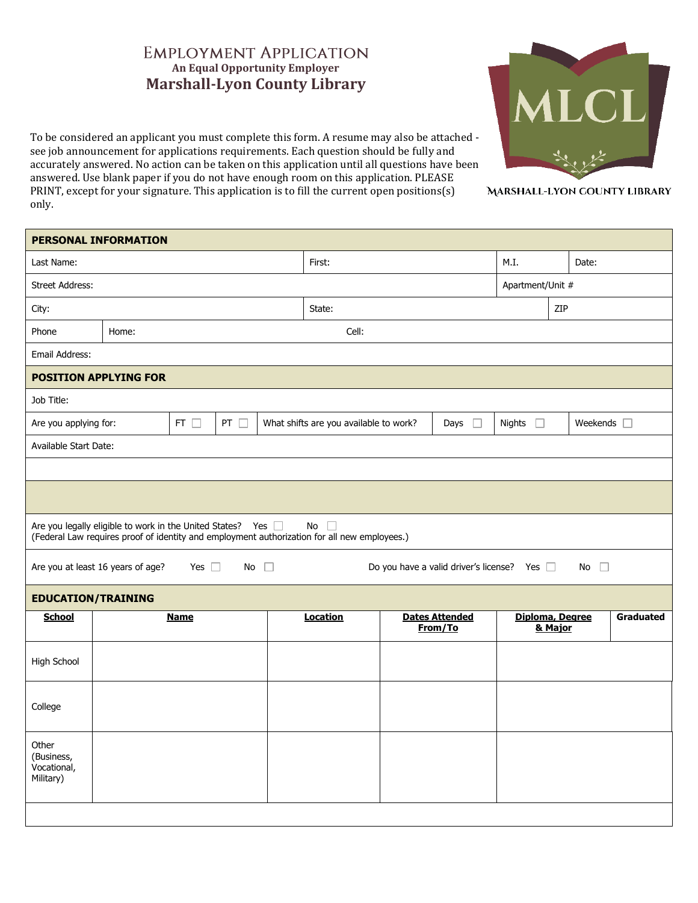## **EMPLOYMENT APPLICATION An Equal Opportunity Employer Marshall-Lyon County Library**

To be considered an applicant you must complete this form. A resume may also be attached see job announcement for applications requirements. Each question should be fully and accurately answered. No action can be taken on this application until all questions have been answered. Use blank paper if you do not have enough room on this application. PLEASE PRINT, except for your signature. This application is to fill the current open positions(s) only.



MARSHALL-LYON COUNTY LIBRARY

| PERSONAL INFORMATION                                                                                                           |             |  |                                                          |                 |                                                                                                              |               |                            |                  |           |  |
|--------------------------------------------------------------------------------------------------------------------------------|-------------|--|----------------------------------------------------------|-----------------|--------------------------------------------------------------------------------------------------------------|---------------|----------------------------|------------------|-----------|--|
| Last Name:                                                                                                                     |             |  |                                                          |                 | First:                                                                                                       |               |                            | M.I.             | Date:     |  |
| <b>Street Address:</b>                                                                                                         |             |  |                                                          |                 |                                                                                                              |               |                            | Apartment/Unit # |           |  |
| City:                                                                                                                          |             |  |                                                          |                 | State:                                                                                                       |               |                            |                  | ZIP       |  |
| Phone<br>Home:                                                                                                                 |             |  |                                                          |                 | Cell:                                                                                                        |               |                            |                  |           |  |
| Email Address:                                                                                                                 |             |  |                                                          |                 |                                                                                                              |               |                            |                  |           |  |
| <b>POSITION APPLYING FOR</b>                                                                                                   |             |  |                                                          |                 |                                                                                                              |               |                            |                  |           |  |
| Job Title:                                                                                                                     |             |  |                                                          |                 |                                                                                                              |               |                            |                  |           |  |
| PT $\square$<br>Are you applying for:<br>FT $\Box$                                                                             |             |  | Days $\square$<br>What shifts are you available to work? |                 |                                                                                                              | Nights $\Box$ |                            | Weekends $\Box$  |           |  |
| Available Start Date:                                                                                                          |             |  |                                                          |                 |                                                                                                              |               |                            |                  |           |  |
|                                                                                                                                |             |  |                                                          |                 |                                                                                                              |               |                            |                  |           |  |
|                                                                                                                                |             |  |                                                          |                 |                                                                                                              |               |                            |                  |           |  |
| Are you legally eligible to work in the United States? Yes and                                                                 |             |  |                                                          |                 | No<br>$\Box$<br>(Federal Law requires proof of identity and employment authorization for all new employees.) |               |                            |                  |           |  |
| Are you at least 16 years of age?<br>Yes $\Box$<br>No<br>Do you have a valid driver's license? Yes □<br>No $\square$<br>$\Box$ |             |  |                                                          |                 |                                                                                                              |               |                            |                  |           |  |
| <b>EDUCATION/TRAINING</b>                                                                                                      |             |  |                                                          |                 |                                                                                                              |               |                            |                  |           |  |
| <b>School</b>                                                                                                                  | <b>Name</b> |  |                                                          | <b>Location</b> | <b>Dates Attended</b><br>From/To                                                                             |               | Diploma, Degree<br>& Major |                  | Graduated |  |
| High School                                                                                                                    |             |  |                                                          |                 |                                                                                                              |               |                            |                  |           |  |
| College                                                                                                                        |             |  |                                                          |                 |                                                                                                              |               |                            |                  |           |  |
| Other<br>(Business,<br>Vocational,<br>Military)                                                                                |             |  |                                                          |                 |                                                                                                              |               |                            |                  |           |  |
|                                                                                                                                |             |  |                                                          |                 |                                                                                                              |               |                            |                  |           |  |
|                                                                                                                                |             |  |                                                          |                 |                                                                                                              |               |                            |                  |           |  |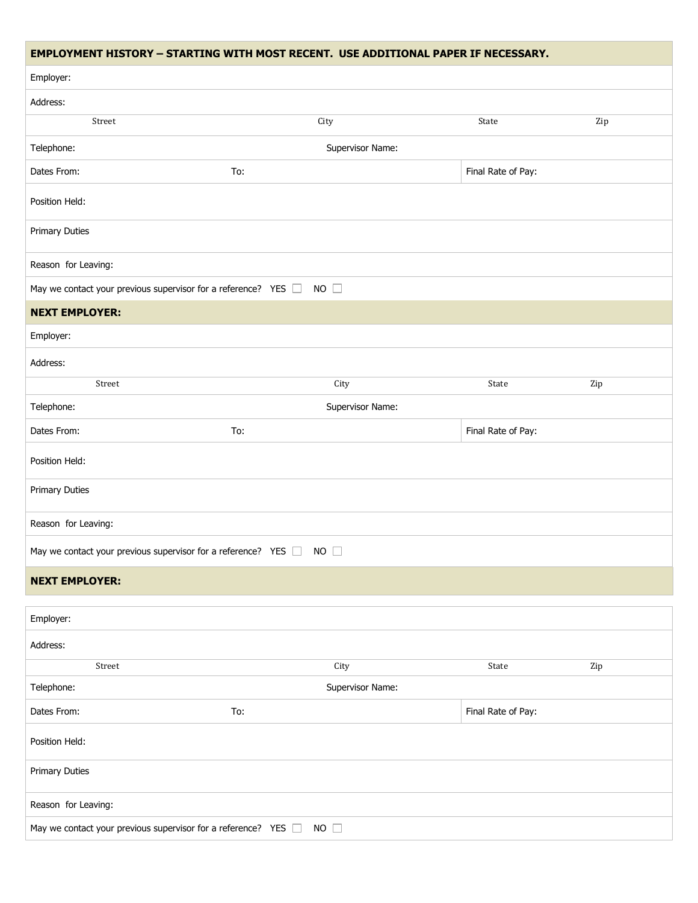|                                                                     | <b>EMPLOYMENT HISTORY - STARTING WITH MOST RECENT. USE ADDITIONAL PAPER IF NECESSARY.</b> |                    |     |
|---------------------------------------------------------------------|-------------------------------------------------------------------------------------------|--------------------|-----|
| Employer:                                                           |                                                                                           |                    |     |
| Address:                                                            |                                                                                           |                    |     |
| Street                                                              | City                                                                                      | State              | Zip |
| Telephone:                                                          | Supervisor Name:                                                                          |                    |     |
| Dates From:                                                         | To:                                                                                       | Final Rate of Pay: |     |
| Position Held:                                                      |                                                                                           |                    |     |
| <b>Primary Duties</b>                                               |                                                                                           |                    |     |
| Reason for Leaving:                                                 |                                                                                           |                    |     |
| May we contact your previous supervisor for a reference? YES D      | $NO$ $\Box$                                                                               |                    |     |
| <b>NEXT EMPLOYER:</b>                                               |                                                                                           |                    |     |
| Employer:                                                           |                                                                                           |                    |     |
| Address:                                                            |                                                                                           |                    |     |
| Street                                                              | City                                                                                      | State              | Zip |
| Telephone:                                                          | Supervisor Name:                                                                          |                    |     |
| Dates From:                                                         | To:                                                                                       | Final Rate of Pay: |     |
| Position Held:                                                      |                                                                                           |                    |     |
| <b>Primary Duties</b>                                               |                                                                                           |                    |     |
| Reason for Leaving:                                                 |                                                                                           |                    |     |
| May we contact your previous supervisor for a reference? YES $\Box$ | <b>NO</b>                                                                                 |                    |     |
| <b>NEXT EMPLOYER:</b>                                               |                                                                                           |                    |     |
| Employer:                                                           |                                                                                           |                    |     |
| Address:                                                            |                                                                                           |                    |     |
| Street                                                              | City                                                                                      | State              | Zip |
| Telephone:                                                          | Supervisor Name:                                                                          |                    |     |
| Dates From:                                                         | To:                                                                                       | Final Rate of Pay: |     |
| Position Held:                                                      |                                                                                           |                    |     |
| <b>Primary Duties</b>                                               |                                                                                           |                    |     |
| Reason for Leaving:                                                 |                                                                                           |                    |     |
| May we contact your previous supervisor for a reference? YES I      | $NO$ $\Box$                                                                               |                    |     |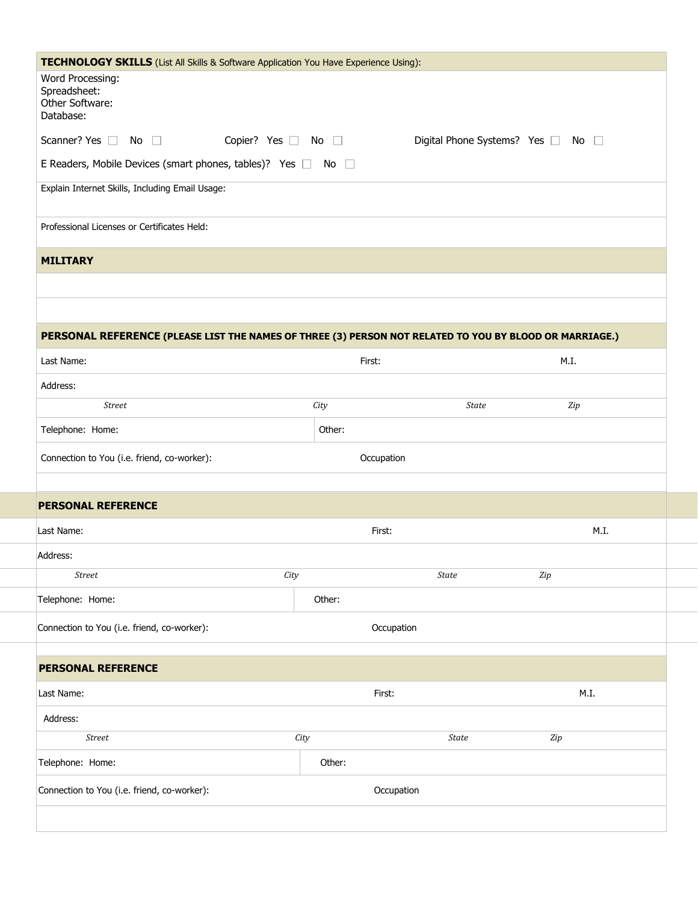| TECHNOLOGY SKILLS (List All Skills & Software Application You Have Experience Using):                   |                              |              |                               |
|---------------------------------------------------------------------------------------------------------|------------------------------|--------------|-------------------------------|
| Word Processing:<br>Spreadsheet:<br>Other Software:<br>Database:                                        |                              |              |                               |
| Scanner? Yes $\Box$ No $\Box$                                                                           | Copier? Yes $\Box$ No $\Box$ |              | Digital Phone Systems? Yes No |
| E Readers, Mobile Devices (smart phones, tables)? Yes □ No □                                            |                              |              |                               |
| Explain Internet Skills, Including Email Usage:                                                         |                              |              |                               |
|                                                                                                         |                              |              |                               |
| Professional Licenses or Certificates Held:                                                             |                              |              |                               |
| <b>MILITARY</b>                                                                                         |                              |              |                               |
|                                                                                                         |                              |              |                               |
|                                                                                                         |                              |              |                               |
|                                                                                                         |                              |              |                               |
| PERSONAL REFERENCE (PLEASE LIST THE NAMES OF THREE (3) PERSON NOT RELATED TO YOU BY BLOOD OR MARRIAGE.) |                              |              |                               |
| Last Name:                                                                                              |                              | First:       | M.I.                          |
| Address:                                                                                                |                              |              |                               |
| <b>Street</b>                                                                                           | City                         | <b>State</b> | Zip                           |
| Telephone: Home:                                                                                        | Other:                       |              |                               |
| Connection to You (i.e. friend, co-worker):                                                             |                              | Occupation   |                               |
|                                                                                                         |                              |              |                               |
| <b>PERSONAL REFERENCE</b>                                                                               |                              |              |                               |
| Last Name:                                                                                              |                              | First:       | M.I.                          |
| Address:                                                                                                |                              |              |                               |
| <b>Street</b>                                                                                           | City                         | <b>State</b> | Zip                           |
| Telephone: Home:                                                                                        | Other:                       |              |                               |
| Connection to You (i.e. friend, co-worker):                                                             |                              | Occupation   |                               |
|                                                                                                         |                              |              |                               |
|                                                                                                         |                              |              |                               |
| <b>PERSONAL REFERENCE</b>                                                                               |                              |              |                               |
| Last Name:                                                                                              |                              | First:       | M.I.                          |
| Address:                                                                                                |                              |              |                               |
| <b>Street</b>                                                                                           | City                         | <b>State</b> | $\it Zip$                     |
| Telephone: Home:                                                                                        | Other:                       |              |                               |

 $\sim$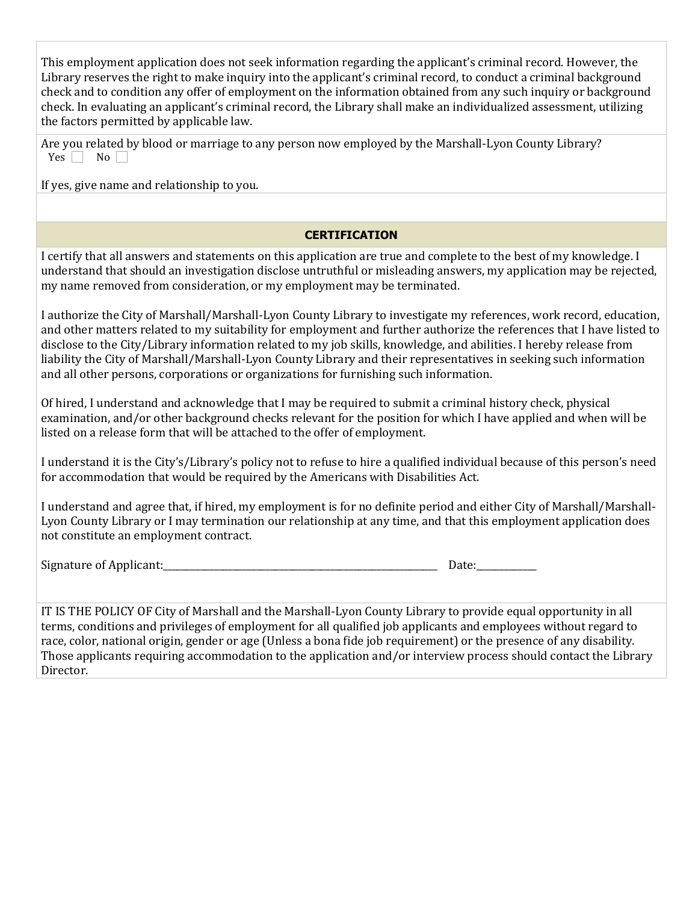| This employment application does not seek information regarding the applicant's criminal record. However, the<br>Library reserves the right to make inquiry into the applicant's criminal record, to conduct a criminal background<br>check and to condition any offer of employment on the information obtained from any such inquiry or background<br>check. In evaluating an applicant's criminal record, the Library shall make an individualized assessment, utilizing<br>the factors permitted by applicable law.                                                          |
|----------------------------------------------------------------------------------------------------------------------------------------------------------------------------------------------------------------------------------------------------------------------------------------------------------------------------------------------------------------------------------------------------------------------------------------------------------------------------------------------------------------------------------------------------------------------------------|
| Are you related by blood or marriage to any person now employed by the Marshall-Lyon County Library?<br>No<br>Yes                                                                                                                                                                                                                                                                                                                                                                                                                                                                |
| If yes, give name and relationship to you.                                                                                                                                                                                                                                                                                                                                                                                                                                                                                                                                       |
|                                                                                                                                                                                                                                                                                                                                                                                                                                                                                                                                                                                  |
| <b>CERTIFICATION</b>                                                                                                                                                                                                                                                                                                                                                                                                                                                                                                                                                             |
| I certify that all answers and statements on this application are true and complete to the best of my knowledge. I<br>understand that should an investigation disclose untruthful or misleading answers, my application may be rejected,<br>my name removed from consideration, or my employment may be terminated.                                                                                                                                                                                                                                                              |
| I authorize the City of Marshall/Marshall-Lyon County Library to investigate my references, work record, education,<br>and other matters related to my suitability for employment and further authorize the references that I have listed to<br>disclose to the City/Library information related to my job skills, knowledge, and abilities. I hereby release from<br>liability the City of Marshall/Marshall-Lyon County Library and their representatives in seeking such information<br>and all other persons, corporations or organizations for furnishing such information. |
| Of hired, I understand and acknowledge that I may be required to submit a criminal history check, physical<br>examination, and/or other background checks relevant for the position for which I have applied and when will be<br>listed on a release form that will be attached to the offer of employment.                                                                                                                                                                                                                                                                      |
| I understand it is the City's/Library's policy not to refuse to hire a qualified individual because of this person's need<br>for accommodation that would be required by the Americans with Disabilities Act.                                                                                                                                                                                                                                                                                                                                                                    |
| I understand and agree that, if hired, my employment is for no definite period and either City of Marshall/Marshall-<br>Lyon County Library or I may termination our relationship at any time, and that this employment application does<br>not constitute an employment contract.                                                                                                                                                                                                                                                                                               |
| Signature of Applicant:<br>Date:_                                                                                                                                                                                                                                                                                                                                                                                                                                                                                                                                                |
| IT IS THE POLICY OF City of Marshall and the Marshall-Lyon County Library to provide equal opportunity in all<br>terms, conditions and privileges of employment for all qualified job applicants and employees without regard to<br>race, color, national origin, gender or age (Unless a bona fide job requirement) or the presence of any disability.<br>Those applicants requiring accommodation to the application and/or interview process should contact the Library<br>Director.                                                                                          |